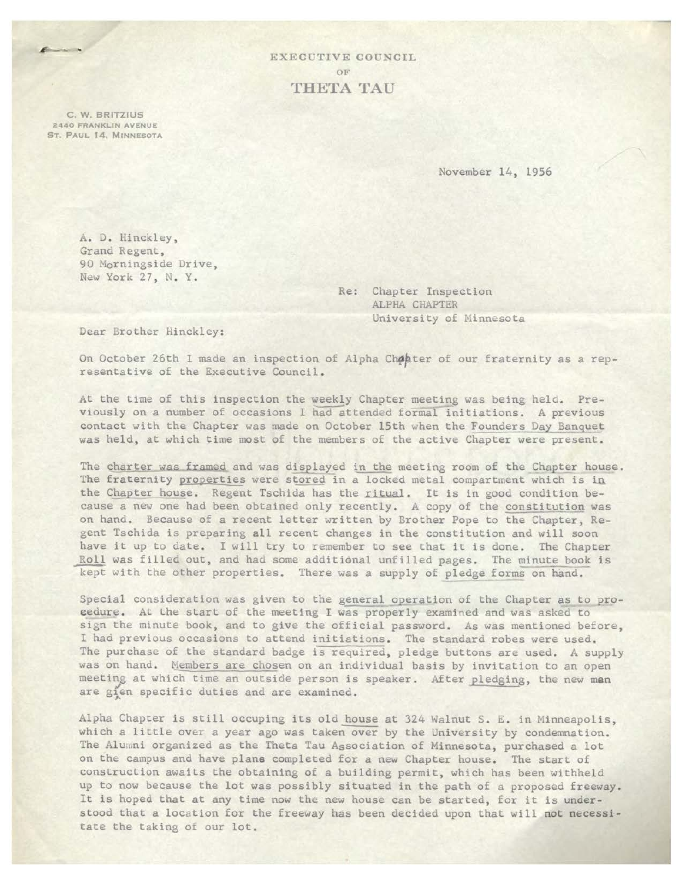EXECUTIVE COUNCIL OF **THETA TAU** 

C. W. BRITZIUS 2440 FRANKLIN AVENUE ST. PAUL 14, MINNESOTA

November 14, 1956

A. J. Hinckley, Grand Regent, 90 Morningside Drive, New York 27, N. Y.

> Re: Chapter Inspection ALPHA CHAPTER University of Ninnesota

Dear Brother Hinckley:

On October 26th I made an inspection of Alpha Chohter of our fraternity as a representative of the Executive Council .

At the time of this inspection the weekly Chapter meeting was being held. Previously on a number of occasions I had attended formal initiations. A previous contact with the Chapter was made on October 15th when the Founders Day Banquet was held, at which time most of the members of the active Chapter were present.

The charter was framed and was displayed in the meeting room of the Chapter house. The fraternity properties were stored in a locked metal compartment which is in the Chapter house. Regent Tschida has the ritual. It is in good condition because a new one had been obtained only recently. A copy of the constitution was on hand. Because of a recent letter written by Brother Pope to the Chapter, Regent Tschida is preparing all recent changes in the constitution and will soon have it up to date. I will try to remember to see that it is done. The Chapter Roll was filled out, and had some additional unfilled pages. The minute book is kept with the other properties. There was a supply of pledge forms on hand.

Special consideration was given to the general operation of the Chapter as to proeedure. At the start of the meeting I was properly examined and was asked to sign the minute book, and to give the official password. As was mentioned before, I had previous occasions to attend initiations. The standard robes were used. The purchase of the standard badge is required, pledge buttons are used. A supply was on hand. Members are chosen on an individual basis by invitation to an open meeting at which time an outside person is speaker. After pledging, the new men are gien specific duties and are examined. "

Alpha Chapter is still occuping its old house at 324 Walnut S. E. in Minneapolis, which a little over a year ago was taken over by the University by condemnation. The Alumni organized as the Theta Tau Association of Minnesota, purchased a lot on the campus and have plane completed for a new Chapter house. The start of construction awaits the obtaining of a building permit, which has been withheld up to now because the lot was possibly situated in the path of a proposed freeway . It is hoped that at any time now the new house can be started, for it is understood that a location for the freeway has been decided upon that will not necessitate the taking of our lot.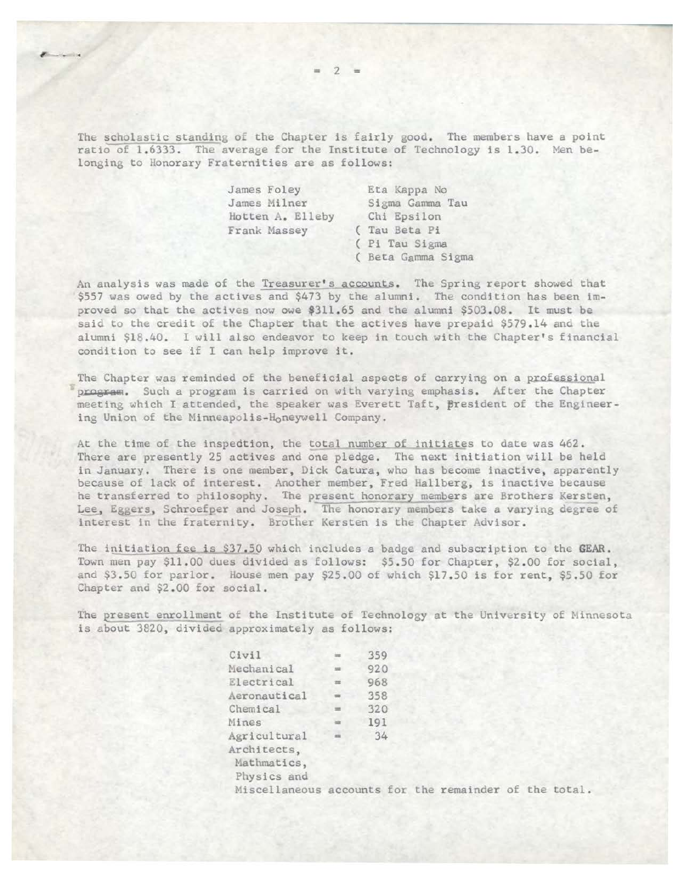The scholastic standing of the Chapter is fairly good. The members have a point ratio of 1.6333. The average for the Institute of Technology is 1.30. Men belonging to Honorary Fraternities are as follows:

| James Foley      | Eta Kappa No       |
|------------------|--------------------|
| James Milner     | Sigma Gamma Tau    |
| Hotten A. Elleby | Chi Epsilon        |
| Frank Massey     | (Tau Beta Pi       |
|                  | ( Pi Tau Sigma     |
|                  | ( Beta Gamma Sigma |

An analysis was made of the Treasurer's accounts. The Spring report showed that \$557 was owed by the actives and \$473 by the alumni. The condition has been improved so that the actives now owe \$311.65 and the alumni \$503.08. It must be said to the credit of the Chapter that the actives have prepaid \$579.14 and the alumni \$18.40. I will also endeavor to keep in touch with the Chapter's financial condition to see if I can help improve it.

The Chapter was reminded of the beneficial aspects of carrying on a professional program. Such a program is carried on with varying emphasis. After the Chapter meeting which I attended, the speaker was Everett Taft, Bresident of the Engineering Union of the Minneapolis-Honeywell Company.

At the time of the inspedtion, the total number of initiates to date was 462. There are presently 25 actives and one pledge. The next initiation will be held in January. There is one member, Dick Catura, who has become inactive, apparently because of lack of interest. Another member, Fred Hallberg, is inactive because he transferred to philosophy. The present honorary members are Brothers Kersten, Lee, Eggers, Schroefper and Joseph. The honorary members take a varying degree of interest in the fraternity. Brother Kersten is the Chapter Advisor.

The initiation fee is \$37.50 which includes a badge and subscription to the GEAR. Town men pay \$11.00 dues divided as follows: \$5.50 for Chapter, \$2.00 for social, and \$3 . 50 for parlor. House men pay \$25.00 of which \$17 . 50 is for rent, \$5.50 for Chapter and \$2.00 for social.

The present enrollment of the Institute of Technology at the University of Minnesota is about 3820, divided approximately as follows:

| Civil                                                  | 359 |  |  |  |  |
|--------------------------------------------------------|-----|--|--|--|--|
| Mechanical                                             | 920 |  |  |  |  |
| Electrical                                             | 968 |  |  |  |  |
| Aeronautical                                           | 358 |  |  |  |  |
| Chemical                                               | 320 |  |  |  |  |
| Mines                                                  | 191 |  |  |  |  |
| Agricultural<br>Architects,                            | 34  |  |  |  |  |
| Mathmatics,<br>Physics and                             |     |  |  |  |  |
| Miscellaneous accounts for the remainder of the total. |     |  |  |  |  |